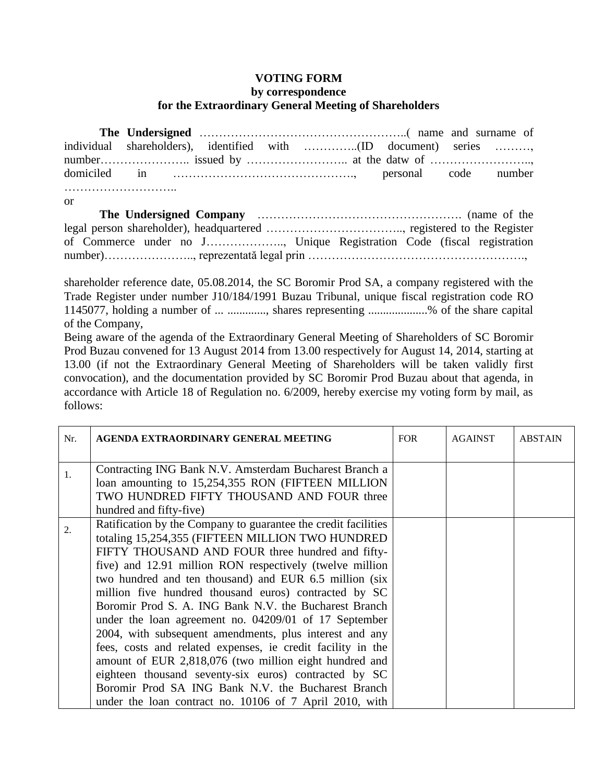## **VOTING FORM**

## **by correspondence for the Extraordinary General Meeting of Shareholders**

**The Undersigned** ……………………………………………..( name and surname of individual shareholders), identified with …………..(ID document) series ………, number………………….. issued by …………………….. at the datw of …………………….., domiciled in ………………………………………., personal code number ……………………….. or **The Undersigned Company** ……………………………………………. (name of the legal person shareholder), headquartered …………………………….., registered to the Register of Commerce under no J……………….., Unique Registration Code (fiscal registration number)……………………………., reprezentată legal prin ……………………………………………………………………………………………

shareholder reference date, 05.08.2014, the SC Boromir Prod SA, a company registered with the Trade Register under number J10/184/1991 Buzau Tribunal, unique fiscal registration code RO 1145077, holding a number of ... ............., shares representing ....................% of the share capital of the Company,

Being aware of the agenda of the Extraordinary General Meeting of Shareholders of SC Boromir Prod Buzau convened for 13 August 2014 from 13.00 respectively for August 14, 2014, starting at 13.00 (if not the Extraordinary General Meeting of Shareholders will be taken validly first convocation), and the documentation provided by SC Boromir Prod Buzau about that agenda, in accordance with Article 18 of Regulation no. 6/2009, hereby exercise my voting form by mail, as follows:

| Nr. | AGENDA EXTRAORDINARY GENERAL MEETING                                                                                                                                                                                                                                                                                                                                                                                                                                                                                                                                                                                                                                                                                                                                                                                                  | <b>FOR</b> | <b>AGAINST</b> | <b>ABSTAIN</b> |
|-----|---------------------------------------------------------------------------------------------------------------------------------------------------------------------------------------------------------------------------------------------------------------------------------------------------------------------------------------------------------------------------------------------------------------------------------------------------------------------------------------------------------------------------------------------------------------------------------------------------------------------------------------------------------------------------------------------------------------------------------------------------------------------------------------------------------------------------------------|------------|----------------|----------------|
| 1.  | Contracting ING Bank N.V. Amsterdam Bucharest Branch a<br>loan amounting to 15,254,355 RON (FIFTEEN MILLION<br>TWO HUNDRED FIFTY THOUSAND AND FOUR three<br>hundred and fifty-five)                                                                                                                                                                                                                                                                                                                                                                                                                                                                                                                                                                                                                                                   |            |                |                |
| 2.  | Ratification by the Company to guarantee the credit facilities<br>totaling 15,254,355 (FIFTEEN MILLION TWO HUNDRED<br>FIFTY THOUSAND AND FOUR three hundred and fifty-<br>five) and 12.91 million RON respectively (twelve million<br>two hundred and ten thousand) and EUR 6.5 million (six<br>million five hundred thousand euros) contracted by SC<br>Boromir Prod S. A. ING Bank N.V. the Bucharest Branch<br>under the loan agreement no. 04209/01 of 17 September<br>2004, with subsequent amendments, plus interest and any<br>fees, costs and related expenses, ie credit facility in the<br>amount of EUR 2,818,076 (two million eight hundred and<br>eighteen thousand seventy-six euros) contracted by SC<br>Boromir Prod SA ING Bank N.V. the Bucharest Branch<br>under the loan contract no. 10106 of 7 April 2010, with |            |                |                |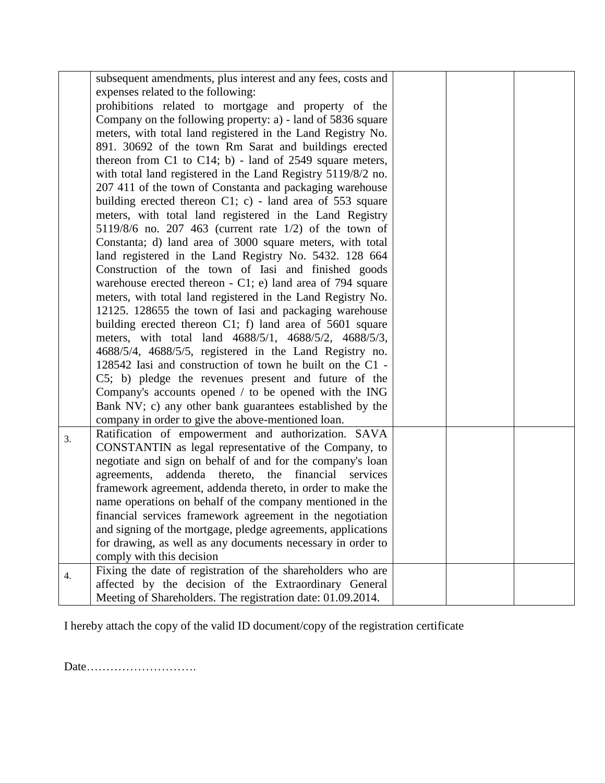|    | subsequent amendments, plus interest and any fees, costs and  |  |  |
|----|---------------------------------------------------------------|--|--|
|    | expenses related to the following:                            |  |  |
|    | prohibitions related to mortgage and property of the          |  |  |
|    | Company on the following property: a) - land of 5836 square   |  |  |
|    | meters, with total land registered in the Land Registry No.   |  |  |
|    | 891. 30692 of the town Rm Sarat and buildings erected         |  |  |
|    | thereon from C1 to C14; b) - land of 2549 square meters,      |  |  |
|    | with total land registered in the Land Registry 5119/8/2 no.  |  |  |
|    | 207 411 of the town of Constanta and packaging warehouse      |  |  |
|    | building erected thereon $C1$ ; c) - land area of 553 square  |  |  |
|    | meters, with total land registered in the Land Registry       |  |  |
|    | $5119/8/6$ no. 207 463 (current rate $1/2$ ) of the town of   |  |  |
|    | Constanta; d) land area of 3000 square meters, with total     |  |  |
|    | land registered in the Land Registry No. 5432. 128 664        |  |  |
|    | Construction of the town of Iasi and finished goods           |  |  |
|    | warehouse erected thereon $- C1$ ; e) land area of 794 square |  |  |
|    | meters, with total land registered in the Land Registry No.   |  |  |
|    | 12125. 128655 the town of Iasi and packaging warehouse        |  |  |
|    | building erected thereon C1; f) land area of 5601 square      |  |  |
|    | meters, with total land 4688/5/1, 4688/5/2, 4688/5/3,         |  |  |
|    | 4688/5/4, 4688/5/5, registered in the Land Registry no.       |  |  |
|    | 128542 Iasi and construction of town he built on the C1 -     |  |  |
|    | C5; b) pledge the revenues present and future of the          |  |  |
|    | Company's accounts opened / to be opened with the ING         |  |  |
|    | Bank NV; c) any other bank guarantees established by the      |  |  |
|    | company in order to give the above-mentioned loan.            |  |  |
| 3. | Ratification of empowerment and authorization. SAVA           |  |  |
|    | CONSTANTIN as legal representative of the Company, to         |  |  |
|    | negotiate and sign on behalf of and for the company's loan    |  |  |
|    | agreements,<br>addenda thereto, the<br>financial services     |  |  |
|    | framework agreement, addenda thereto, in order to make the    |  |  |
|    | name operations on behalf of the company mentioned in the     |  |  |
|    | financial services framework agreement in the negotiation     |  |  |
|    | and signing of the mortgage, pledge agreements, applications  |  |  |
|    | for drawing, as well as any documents necessary in order to   |  |  |
|    | comply with this decision                                     |  |  |
| 4. | Fixing the date of registration of the shareholders who are   |  |  |
|    | affected by the decision of the Extraordinary General         |  |  |
|    | Meeting of Shareholders. The registration date: 01.09.2014.   |  |  |

I hereby attach the copy of the valid ID document/copy of the registration certificate

Date……………………….